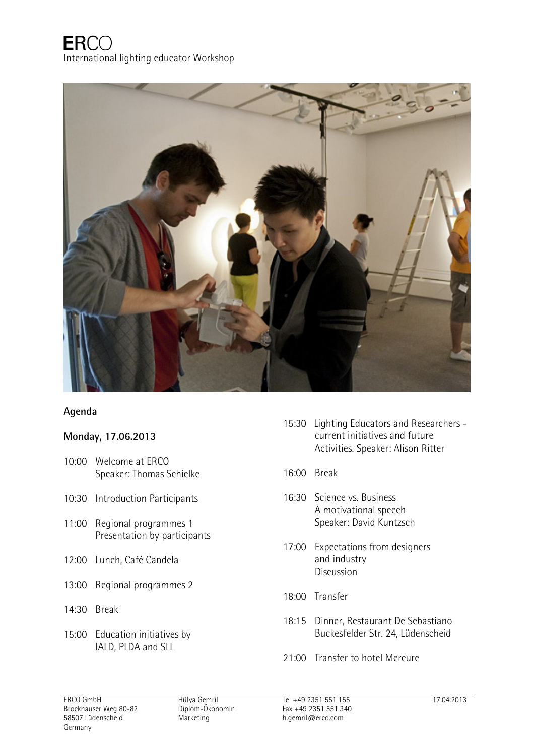

## **Agenda**

## **Monday, 17.06.2013**

- 10:00 Welcome at ERCO Speaker: Thomas Schielke
- 10:30 Introduction Participants
- 11:00 Regional programmes 1 Presentation by participants
- 12:00 Lunch, Café Candela
- 13:00 Regional programmes 2
- 14:30 Break
- 15:00 Education initiatives by IALD, PLDA and SLL
- 15:30 Lighting Educators and Researchers current initiatives and future Activities. Speaker: Alison Ritter
- 16:00 Break
- 16:30 Science vs. Business A motivational speech Speaker: David Kuntzsch
- 17:00 Expectations from designers and industry Discussion
- 18:00 Transfer
- 18:15 Dinner, Restaurant De Sebastiano Buckesfelder Str. 24, Lüdenscheid
- 21:00 Transfer to hotel Mercure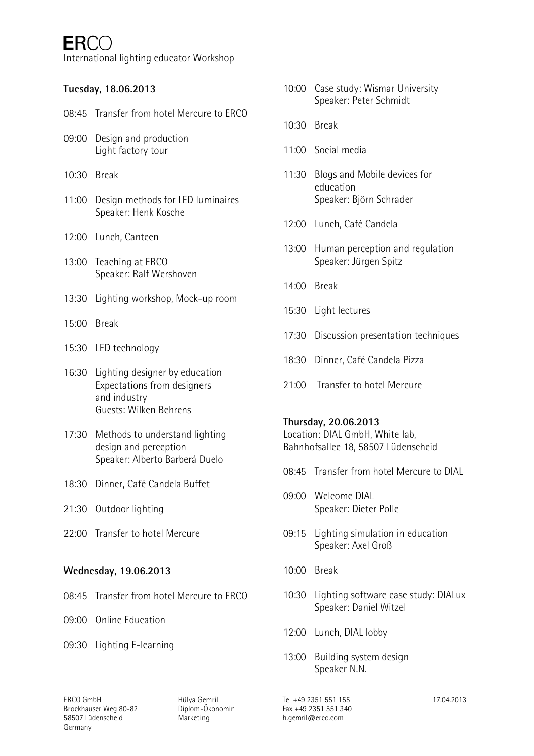International lighting educator Workshop

# **Tuesday, 18.06.2013**

- 08:45 Transfer from hotel Mercure to ERCO
- 09:00 Design and production Light factory tour
- 10:30 Break
- 11:00 Design methods for LED luminaires Speaker: Henk Kosche
- 12:00 Lunch, Canteen
- 13:00 Teaching at ERCO Speaker: Ralf Wershoven
- 13:30 Lighting workshop, Mock-up room
- 15:00 Break
- 15:30 LED technology
- 16:30 Lighting designer by education Expectations from designers and industry Guests: Wilken Behrens
- 17:30 Methods to understand lighting design and perception Speaker: Alberto Barberá Duelo
- 18:30 Dinner, Café Candela Buffet
- 21:30 Outdoor lighting
- 22:00 Transfer to hotel Mercure

#### **Wednesday, 19.06.2013**

- 08:45 Transfer from hotel Mercure to ERCO
- 09:00 Online Education
- 09:30 Lighting E-learning
- 10:00 Case study: Wismar University Speaker: Peter Schmidt
- 10:30 Break
- 11:00 Social media
- 11:30 Blogs and Mobile devices for education Speaker: Björn Schrader
- 12:00 Lunch, Café Candela
- 13:00 Human perception and regulation Speaker: Jürgen Spitz
- 14:00 Break
- 15:30 Light lectures
- 17:30 Discussion presentation techniques
- 18:30 Dinner, Café Candela Pizza
- 21:00 Transfer to hotel Mercure

#### **Thursday, 20.06.2013**

Location: DIAL GmbH, White lab, Bahnhofsallee 18, 58507 Lüdenscheid

- 08:45 Transfer from hotel Mercure to DIAL
- 09:00 Welcome DIAL Speaker: Dieter Polle
- 09:15 Lighting simulation in education Speaker: Axel Groß
- 10:00 Break
- 10:30 Lighting software case study: DIALux Speaker: Daniel Witzel
- 12:00 Lunch, DIAL lobby
- 13:00 Building system design Speaker N.N.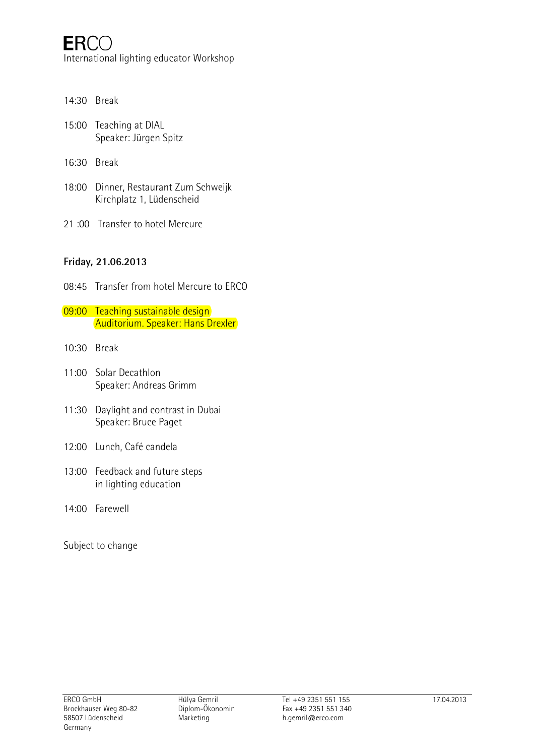- 14:30 Break
- 15:00 Teaching at DIAL Speaker: Jürgen Spitz
- 16:30 Break
- 18:00 Dinner, Restaurant Zum Schweijk Kirchplatz 1, Lüdenscheid
- 21 :00 Transfer to hotel Mercure

## **Friday, 21.06.2013**

- 08:45 Transfer from hotel Mercure to ERCO
- 09:00 Teaching sustainable design Auditorium. Speaker: Hans Drexler
- 10:30 Break
- 11:00 Solar Decathlon Speaker: Andreas Grimm
- 11:30 Daylight and contrast in Dubai Speaker: Bruce Paget
- 12:00 Lunch, Café candela
- 13:00 Feedback and future steps in lighting education
- 14:00 Farewell
- Subject to change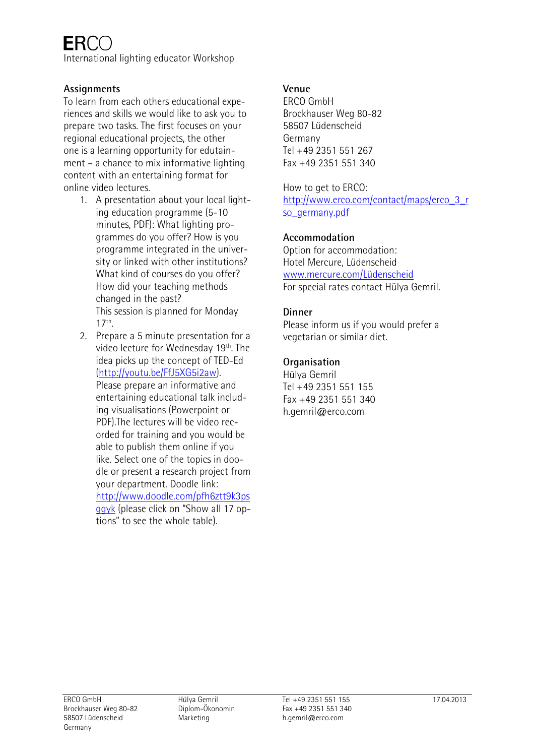International lighting educator Workshop

# **Assignments**

To learn from each others educational experiences and skills we would like to ask you to prepare two tasks. The first focuses on your regional educational projects, the other one is a learning opportunity for edutainment – a chance to mix informative lighting content with an entertaining format for online video lectures.

- 1. A presentation about your local lighting education programme (5-10 minutes, PDF): What lighting programmes do you offer? How is you programme integrated in the university or linked with other institutions? What kind of courses do you offer? How did your teaching methods changed in the past? This session is planned for Monday  $17<sup>th</sup>$ .
- 2. Prepare a 5 minute presentation for a video lecture for Wednesday 19th. The idea picks up the concept of TED-Ed (http://youtu.be/FfJ5XG5i2aw). Please prepare an informative and entertaining educational talk including visualisations (Powerpoint or PDF).The lectures will be video recorded for training and you would be able to publish them online if you like. Select one of the topics in doodle or present a research project from your department. Doodle link: http://www.doodle.com/pfh6ztt9k3ps

ggyk (please click on "Show all 17 options" to see the whole table).

# **Venue**

ERCO GmbH Brockhauser Weg 80-82 58507 Lüdenscheid Germany Tel +49 2351 551 267 Fax +49 2351 551 340

How to get to ERCO: http://www.erco.com/contact/maps/erco\_3\_r so germany.pdf

# **Accommodation**

Option for accommodation: Hotel Mercure, Lüdenscheid www.mercure.com/Lüdenscheid For special rates contact Hülya Gemril.

## **Dinner**

Please inform us if you would prefer a vegetarian or similar diet.

# **Organisation**

Hülya Gemril Tel +49 2351 551 155 Fax +49 2351 551 340 h.gemril@erco.com